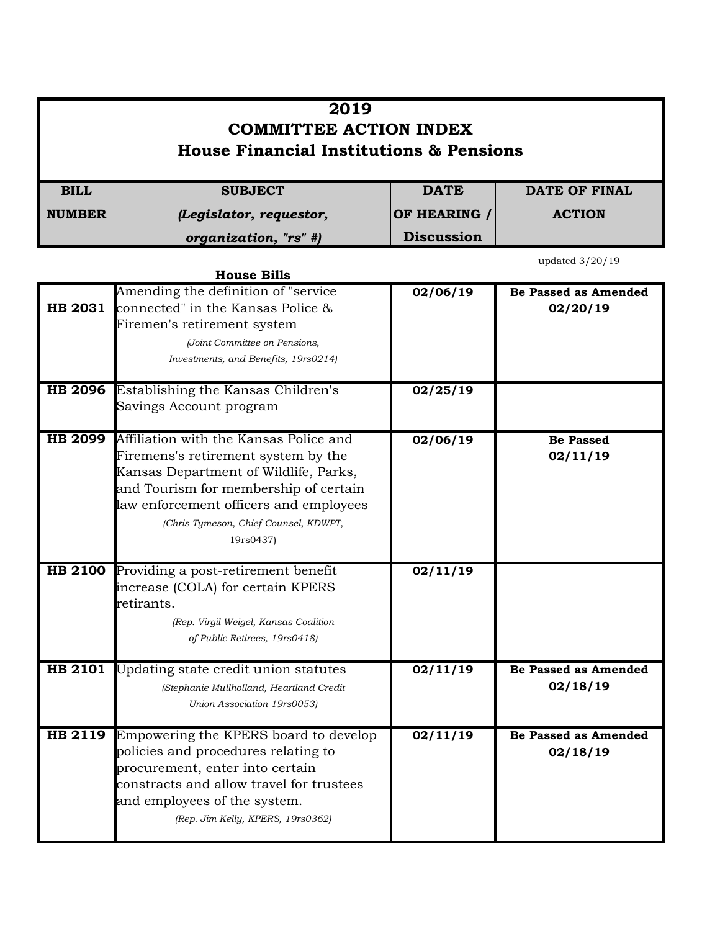|                                                    | 2019                                                                                                                                                                                                                                                                           |                   |                                         |
|----------------------------------------------------|--------------------------------------------------------------------------------------------------------------------------------------------------------------------------------------------------------------------------------------------------------------------------------|-------------------|-----------------------------------------|
| <b>COMMITTEE ACTION INDEX</b>                      |                                                                                                                                                                                                                                                                                |                   |                                         |
| <b>House Financial Institutions &amp; Pensions</b> |                                                                                                                                                                                                                                                                                |                   |                                         |
| <b>BILL</b>                                        | <b>SUBJECT</b>                                                                                                                                                                                                                                                                 | <b>DATE</b>       | <b>DATE OF FINAL</b>                    |
| <b>NUMBER</b>                                      | (Legislator, requestor,                                                                                                                                                                                                                                                        | OF HEARING /      | <b>ACTION</b>                           |
|                                                    | organization, "rs" #)                                                                                                                                                                                                                                                          | <b>Discussion</b> |                                         |
|                                                    | <b>House Bills</b>                                                                                                                                                                                                                                                             |                   | updated 3/20/19                         |
|                                                    | Amending the definition of "service<br><b>HB 2031</b> connected" in the Kansas Police $\&$<br>Firemen's retirement system<br>(Joint Committee on Pensions,<br>Investments, and Benefits, 19rs0214)                                                                             | 02/06/19          | <b>Be Passed as Amended</b><br>02/20/19 |
|                                                    | <b>HB 2096</b> Establishing the Kansas Children's<br>Savings Account program                                                                                                                                                                                                   | 02/25/19          |                                         |
|                                                    | <b>HB 2099</b> Affiliation with the Kansas Police and<br>Firemens's retirement system by the<br>Kansas Department of Wildlife, Parks,<br>and Tourism for membership of certain<br>law enforcement officers and employees<br>(Chris Tymeson, Chief Counsel, KDWPT,<br>19rs0437) | 02/06/19          | <b>Be Passed</b><br>02/11/19            |
|                                                    | HB 2100 Providing a post-retirement benefit<br>increase (COLA) for certain KPERS<br>retirants.<br>(Rep. Virgil Weigel, Kansas Coalition<br>of Public Retirees, 19rs0418)                                                                                                       | 02/11/19          |                                         |
| HB 2101                                            | Updating state credit union statutes<br>(Stephanie Mullholland, Heartland Credit<br>Union Association 19rs0053)                                                                                                                                                                | 02/11/19          | <b>Be Passed as Amended</b><br>02/18/19 |
| <b>HB 2119</b>                                     | Empowering the KPERS board to develop<br>policies and procedures relating to<br>procurement, enter into certain<br>constracts and allow travel for trustees<br>and employees of the system.<br>(Rep. Jim Kelly, KPERS, 19rs0362)                                               | 02/11/19          | <b>Be Passed as Amended</b><br>02/18/19 |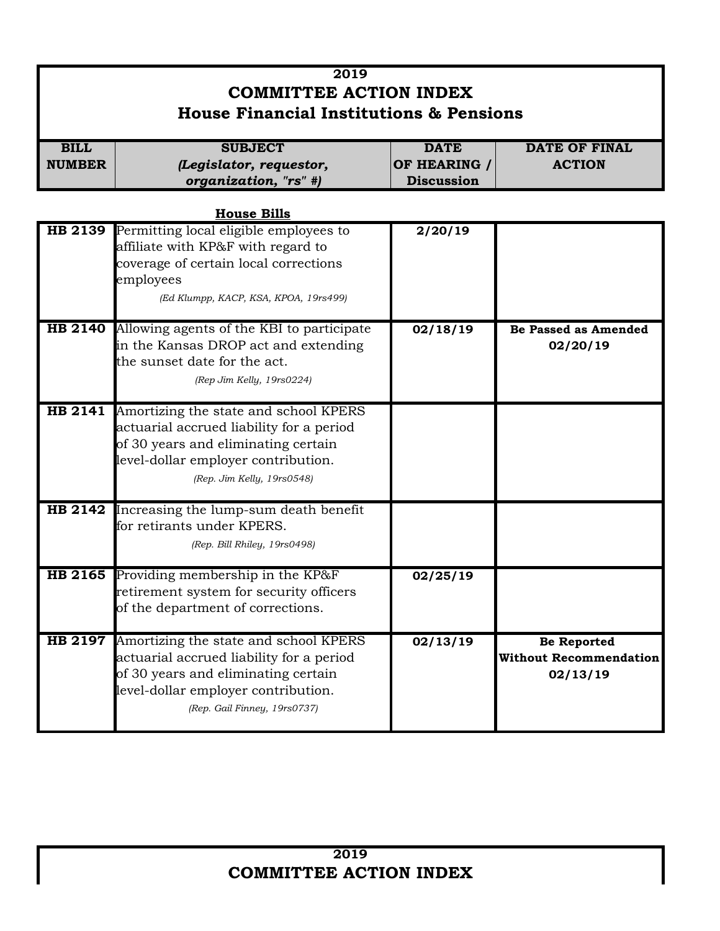## **2019 COMMITTEE ACTION INDEX House Financial Institutions & Pensions BILL** SUBJECT DATE DATE OF FINAL **NUMBER OF HEARING / ACTION** *(Legislator, requestor, organization, "rs" #)* **Discussion**

|                | <b>House Bills</b>                                                                                                                                                                                    |          |                                                                 |
|----------------|-------------------------------------------------------------------------------------------------------------------------------------------------------------------------------------------------------|----------|-----------------------------------------------------------------|
|                | <b>HB 2139</b> Permitting local eligible employees to<br>affiliate with KP&F with regard to<br>coverage of certain local corrections<br>employees<br>(Ed Klumpp, KACP, KSA, KPOA, 19rs499)            | 2/20/19  |                                                                 |
|                | HB 2140 Allowing agents of the KBI to participate<br>in the Kansas DROP act and extending<br>the sunset date for the act.<br>(Rep Jim Kelly, 19rs0224)                                                | 02/18/19 | <b>Be Passed as Amended</b><br>02/20/19                         |
|                | HB 2141 Amortizing the state and school KPERS<br>actuarial accrued liability for a period<br>of 30 years and eliminating certain<br>level-dollar employer contribution.<br>(Rep. Jim Kelly, 19rs0548) |          |                                                                 |
|                | HB 2142 Increasing the lump-sum death benefit<br>for retirants under KPERS.<br>(Rep. Bill Rhiley, 19rs0498)                                                                                           |          |                                                                 |
| <b>HB 2165</b> | Providing membership in the KP&F<br>retirement system for security officers<br>of the department of corrections.                                                                                      | 02/25/19 |                                                                 |
| HB 2197        | Amortizing the state and school KPERS<br>actuarial accrued liability for a period<br>of 30 years and eliminating certain<br>level-dollar employer contribution.<br>(Rep. Gail Finney, 19rs0737)       | 02/13/19 | <b>Be Reported</b><br><b>Without Recommendation</b><br>02/13/19 |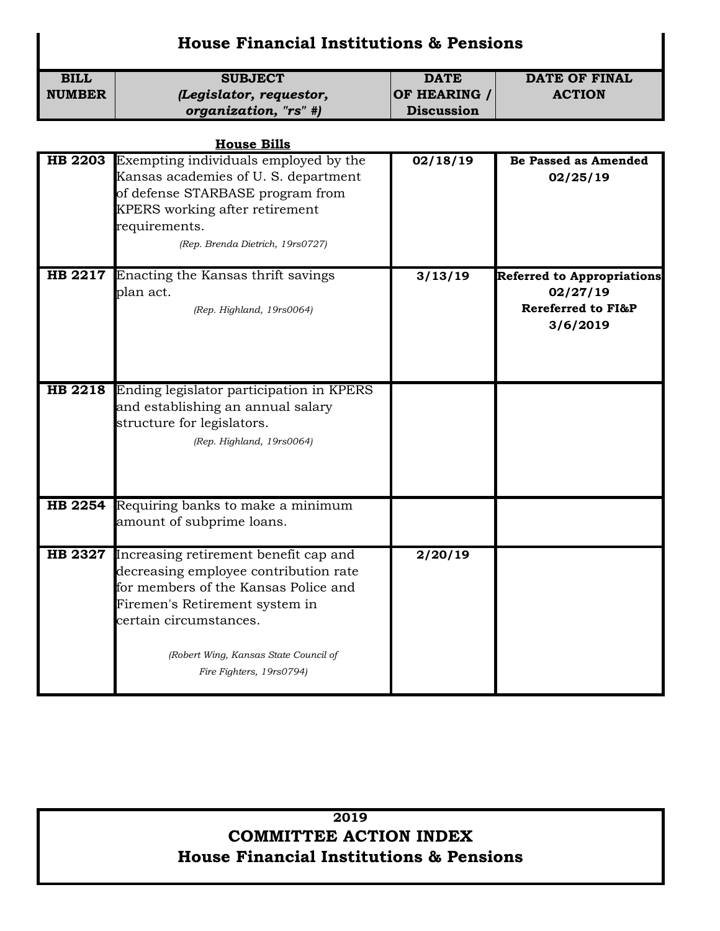## **House Financial Institutions & Pensions**

| <b>BILL</b>    | <b>SUBJECT</b>                                                                                                                                                                                                                                          | <b>DATE</b>       | <b>DATE OF FINAL</b>                                                            |
|----------------|---------------------------------------------------------------------------------------------------------------------------------------------------------------------------------------------------------------------------------------------------------|-------------------|---------------------------------------------------------------------------------|
| <b>NUMBER</b>  | (Legislator, requestor,                                                                                                                                                                                                                                 | OF HEARING /      | <b>ACTION</b>                                                                   |
|                | organization, "rs" #)                                                                                                                                                                                                                                   | <b>Discussion</b> |                                                                                 |
|                |                                                                                                                                                                                                                                                         |                   |                                                                                 |
|                | <b>House Bills</b>                                                                                                                                                                                                                                      |                   |                                                                                 |
|                | <b>HB 2203</b> Exempting individuals employed by the<br>Kansas academies of U.S. department<br>of defense STARBASE program from<br>KPERS working after retirement<br>requirements.<br>(Rep. Brenda Dietrich, 19rs0727)                                  | 02/18/19          | <b>Be Passed as Amended</b><br>02/25/19                                         |
|                | HB 2217 Enacting the Kansas thrift savings<br>plan act.<br>(Rep. Highland, 19rs0064)                                                                                                                                                                    | 3/13/19           | <b>Referred to Appropriations</b><br>02/27/19<br>Rereferred to FI&P<br>3/6/2019 |
|                | HB 2218 Ending legislator participation in KPERS<br>and establishing an annual salary<br>structure for legislators.<br>(Rep. Highland, 19rs0064)                                                                                                        |                   |                                                                                 |
| <b>HB 2254</b> | Requiring banks to make a minimum<br>amount of subprime loans.                                                                                                                                                                                          |                   |                                                                                 |
| <b>HB 2327</b> | Increasing retirement benefit cap and<br>decreasing employee contribution rate<br>for members of the Kansas Police and<br>Firemen's Retirement system in<br>certain circumstances.<br>(Robert Wing, Kansas State Council of<br>Fire Fighters, 19rs0794) | 2/20/19           |                                                                                 |

## **2019 COMMITTEE ACTION INDEX House Financial Institutions & Pensions**